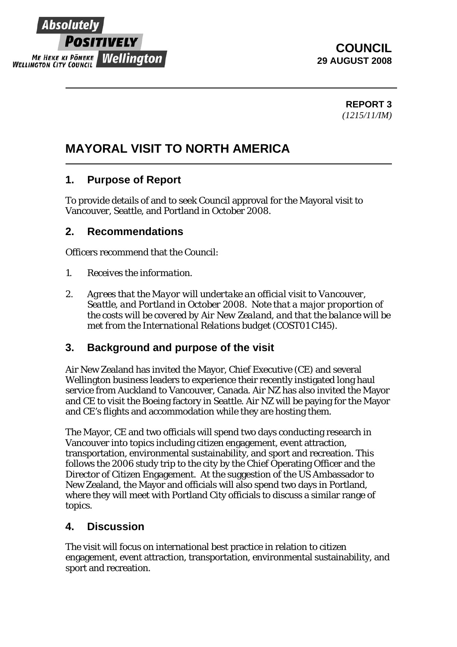

# **COUNCIL 29 AUGUST 2008**

**REPORT 3**  *(1215/11/IM)* 

# **MAYORAL VISIT TO NORTH AMERICA**

# **1. Purpose of Report**

To provide details of and to seek Council approval for the Mayoral visit to Vancouver, Seattle, and Portland in October 2008.

## **2. Recommendations**

Officers recommend that the Council:

- *1. Receives the information.*
- *2. Agrees that the Mayor will undertake an official visit to Vancouver, Seattle, and Portland in October 2008. Note that a major proportion of the costs will be covered by Air New Zealand, and that the balance will be met from the International Relations budget (COST01 C145).*

## **3. Background and purpose of the visit**

Air New Zealand has invited the Mayor, Chief Executive (CE) and several Wellington business leaders to experience their recently instigated long haul service from Auckland to Vancouver, Canada. Air NZ has also invited the Mayor and CE to visit the Boeing factory in Seattle. Air NZ will be paying for the Mayor and CE's flights and accommodation while they are hosting them.

The Mayor, CE and two officials will spend two days conducting research in Vancouver into topics including citizen engagement, event attraction, transportation, environmental sustainability, and sport and recreation. This follows the 2006 study trip to the city by the Chief Operating Officer and the Director of Citizen Engagement. At the suggestion of the US Ambassador to New Zealand, the Mayor and officials will also spend two days in Portland, where they will meet with Portland City officials to discuss a similar range of topics.

## **4. Discussion**

The visit will focus on international best practice in relation to citizen engagement, event attraction, transportation, environmental sustainability, and sport and recreation.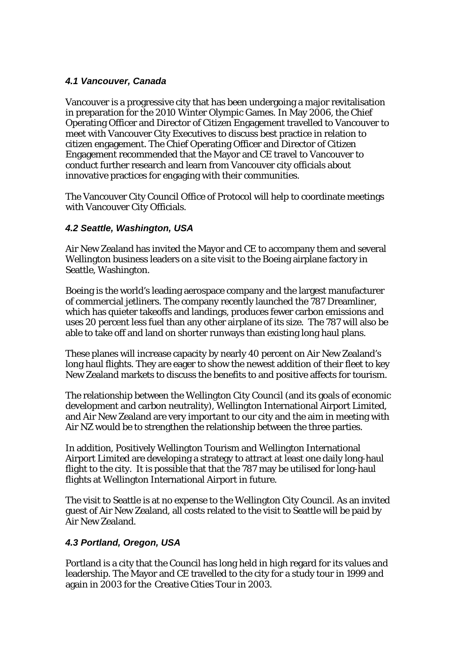#### *4.1 Vancouver, Canada*

Vancouver is a progressive city that has been undergoing a major revitalisation in preparation for the 2010 Winter Olympic Games. In May 2006, the Chief Operating Officer and Director of Citizen Engagement travelled to Vancouver to meet with Vancouver City Executives to discuss best practice in relation to citizen engagement. The Chief Operating Officer and Director of Citizen Engagement recommended that the Mayor and CE travel to Vancouver to conduct further research and learn from Vancouver city officials about innovative practices for engaging with their communities.

The Vancouver City Council Office of Protocol will help to coordinate meetings with Vancouver City Officials.

#### *4.2 Seattle, Washington, USA*

Air New Zealand has invited the Mayor and CE to accompany them and several Wellington business leaders on a site visit to the Boeing airplane factory in Seattle, Washington.

Boeing is the world's leading aerospace company and the largest manufacturer of commercial jetliners. The company recently launched the 787 Dreamliner, which has quieter takeoffs and landings, produces fewer carbon emissions and uses 20 percent less fuel than any other airplane of its size. The 787 will also be able to take off and land on shorter runways than existing long haul plans.

These planes will increase capacity by nearly 40 percent on Air New Zealand's long haul flights. They are eager to show the newest addition of their fleet to key New Zealand markets to discuss the benefits to and positive affects for tourism.

The relationship between the Wellington City Council (and its goals of economic development and carbon neutrality), Wellington International Airport Limited, and Air New Zealand are very important to our city and the aim in meeting with Air NZ would be to strengthen the relationship between the three parties.

In addition, Positively Wellington Tourism and Wellington International Airport Limited are developing a strategy to attract at least one daily long-haul flight to the city. It is possible that that the 787 may be utilised for long-haul flights at Wellington International Airport in future.

The visit to Seattle is at no expense to the Wellington City Council. As an invited guest of Air New Zealand, all costs related to the visit to Seattle will be paid by Air New Zealand.

#### *4.3 Portland, Oregon, USA*

Portland is a city that the Council has long held in high regard for its values and leadership. The Mayor and CE travelled to the city for a study tour in 1999 and again in 2003 for the Creative Cities Tour in 2003.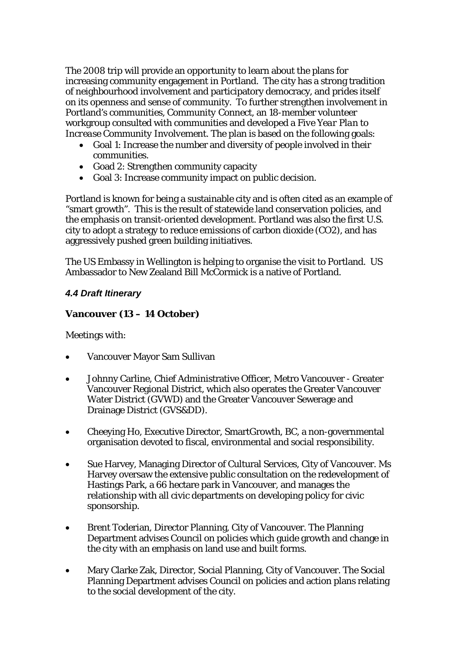The 2008 trip will provide an opportunity to learn about the plans for increasing community engagement in Portland. The city has a strong tradition of neighbourhood involvement and participatory democracy, and prides itself on its openness and sense of community. To further strengthen involvement in Portland's communities, *Community Connect*, an 18-member volunteer workgroup consulted with communities and developed a *Five Year Plan to Increase Community Involvement*. The plan is based on the following goals:

- Goal 1: Increase the number and diversity of people involved in their communities.
- Goad 2: Strengthen community capacity
- Goal 3: Increase community impact on public decision.

Portland is known for being a sustainable city and is often cited as an example of "smart growth". This is the result of statewide land conservation policies, and the emphasis on transit-oriented development. Portland was also the first U.S. city to adopt a strategy to reduce emissions of carbon dioxide (CO2), and has aggressively pushed green building initiatives.

The US Embassy in Wellington is helping to organise the visit to Portland. US Ambassador to New Zealand Bill McCormick is a native of Portland.

#### *4.4 Draft Itinerary*

#### **Vancouver (13 – 14 October)**

Meetings with:

- Vancouver Mayor Sam Sullivan
- Johnny Carline, Chief Administrative Officer, Metro Vancouver Greater Vancouver Regional District, which also operates the Greater Vancouver Water District (GVWD) and the Greater Vancouver Sewerage and Drainage District (GVS&DD).
- Cheeying Ho, Executive Director, SmartGrowth, BC, a non-governmental organisation devoted to fiscal, environmental and social responsibility.
- Sue Harvey, Managing Director of Cultural Services, City of Vancouver. Ms Harvey oversaw the extensive public consultation on the redevelopment of Hastings Park, a 66 hectare park in Vancouver, and manages the relationship with all civic departments on developing policy for civic sponsorship.
- Brent Toderian, Director Planning, City of Vancouver. The Planning Department advises Council on policies which guide growth and change in the city with an emphasis on land use and built forms.
- Mary Clarke Zak, Director, Social Planning, City of Vancouver. The Social Planning Department advises Council on policies and action plans relating to the social development of the city.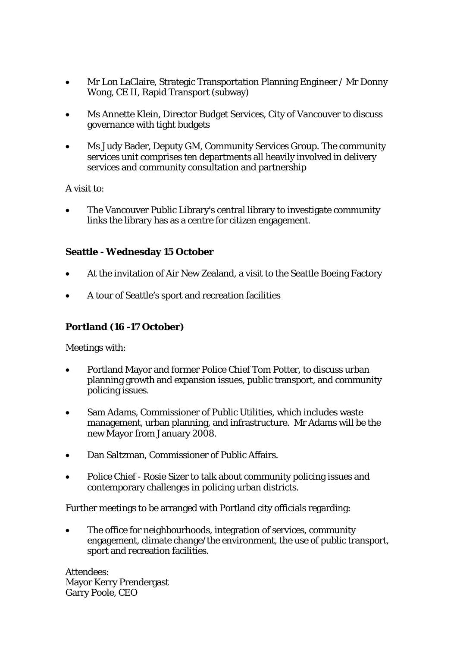- Mr Lon LaClaire, Strategic Transportation Planning Engineer / Mr Donny Wong, CE II, Rapid Transport (subway)
- Ms Annette Klein, Director Budget Services, City of Vancouver to discuss governance with tight budgets
- Ms Judy Bader, Deputy GM, Community Services Group. The community services unit comprises ten departments all heavily involved in delivery services and community consultation and partnership

A visit to:

• The Vancouver Public Library's central library to investigate community links the library has as a centre for citizen engagement.

#### **Seattle - Wednesday 15 October**

- At the invitation of Air New Zealand, a visit to the Seattle Boeing Factory
- A tour of Seattle's sport and recreation facilities

#### **Portland (16 -17 October)**

Meetings with:

- Portland Mayor and former Police Chief Tom Potter, to discuss urban planning growth and expansion issues, public transport, and community policing issues.
- Sam Adams, Commissioner of Public Utilities, which includes waste management, urban planning, and infrastructure. Mr Adams will be the new Mayor from January 2008.
- Dan Saltzman, Commissioner of Public Affairs.
- Police Chief Rosie Sizer to talk about community policing issues and contemporary challenges in policing urban districts.

Further meetings to be arranged with Portland city officials regarding:

The office for neighbourhoods, integration of services, community engagement, climate change/the environment, the use of public transport, sport and recreation facilities.

Attendees: Mayor Kerry Prendergast Garry Poole, CEO